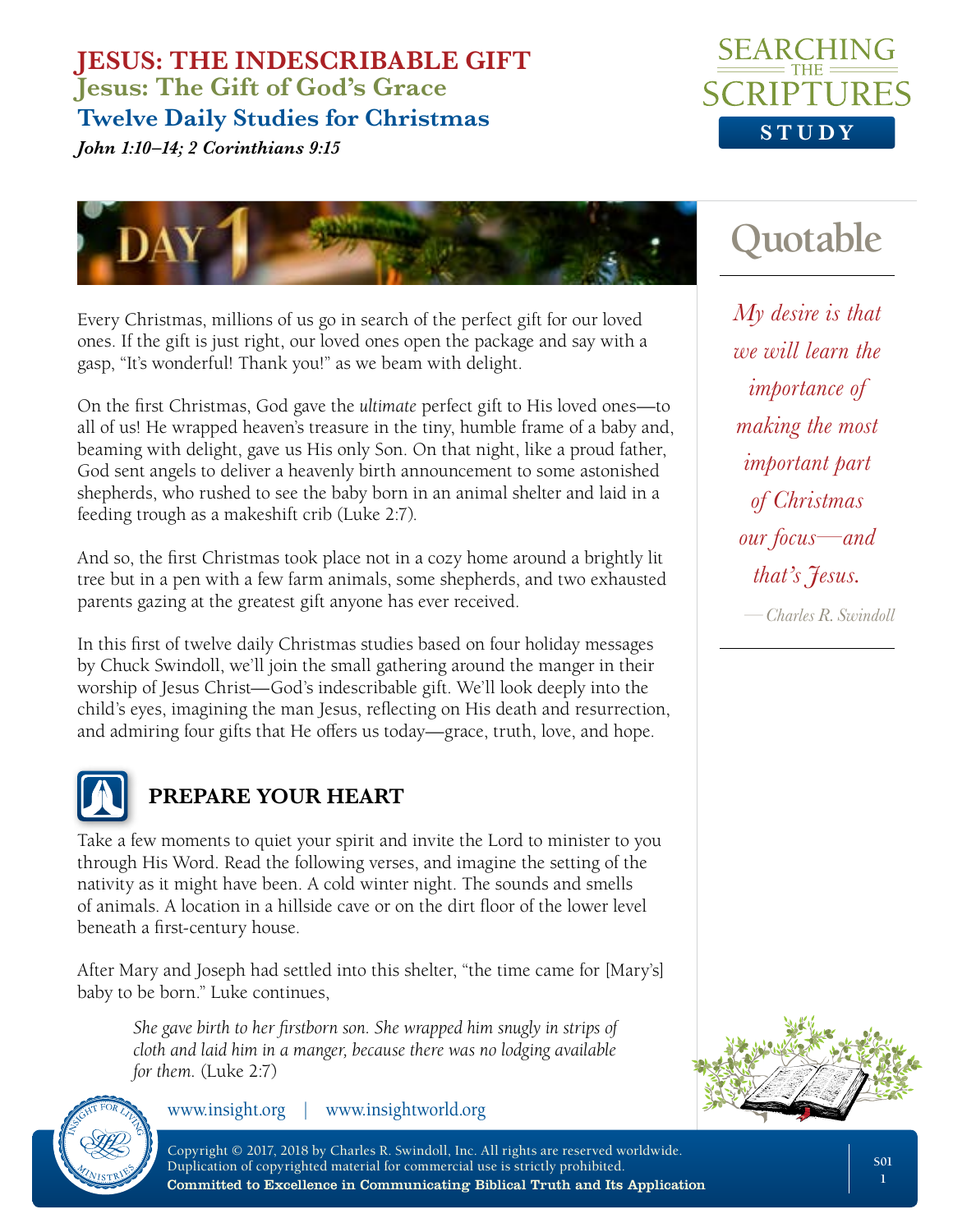*John 1:10–14; 2 Corinthians 9:15*



**Quotable**



Every Christmas, millions of us go in search of the perfect gift for our loved ones. If the gift is just right, our loved ones open the package and say with a gasp, "It's wonderful! Thank you!" as we beam with delight.

On the first Christmas, God gave the *ultimate* perfect gift to His loved ones—to all of us! He wrapped heaven's treasure in the tiny, humble frame of a baby and, beaming with delight, gave us His only Son. On that night, like a proud father, God sent angels to deliver a heavenly birth announcement to some astonished shepherds, who rushed to see the baby born in an animal shelter and laid in a feeding trough as a makeshift crib (Luke 2:7).

And so, the first Christmas took place not in a cozy home around a brightly lit tree but in a pen with a few farm animals, some shepherds, and two exhausted parents gazing at the greatest gift anyone has ever received.

In this first of twelve daily Christmas studies based on four holiday messages by Chuck Swindoll, we'll join the small gathering around the manger in their worship of Jesus Christ—God's indescribable gift. We'll look deeply into the child's eyes, imagining the man Jesus, reflecting on His death and resurrection, and admiring four gifts that He offers us today—grace, truth, love, and hope.



# **PREPARE YOUR HEART**

Take a few moments to quiet your spirit and invite the Lord to minister to you through His Word. Read the following verses, and imagine the setting of the nativity as it might have been. A cold winter night. The sounds and smells of animals. A location in a hillside cave or on the dirt floor of the lower level beneath a first-century house.

After Mary and Joseph had settled into this shelter, "the time came for [Mary's] baby to be born." Luke continues,

*She gave birth to her firstborn son. She wrapped him snugly in strips of cloth and laid him in a manger, because there was no lodging available for them.* (Luke 2:7)



www.insight.org | www.insightworld.org

*My desire is that we will learn the importance of making the most important part of Christmas our focus—and that's Jesus.*

*—Charles R. Swindoll*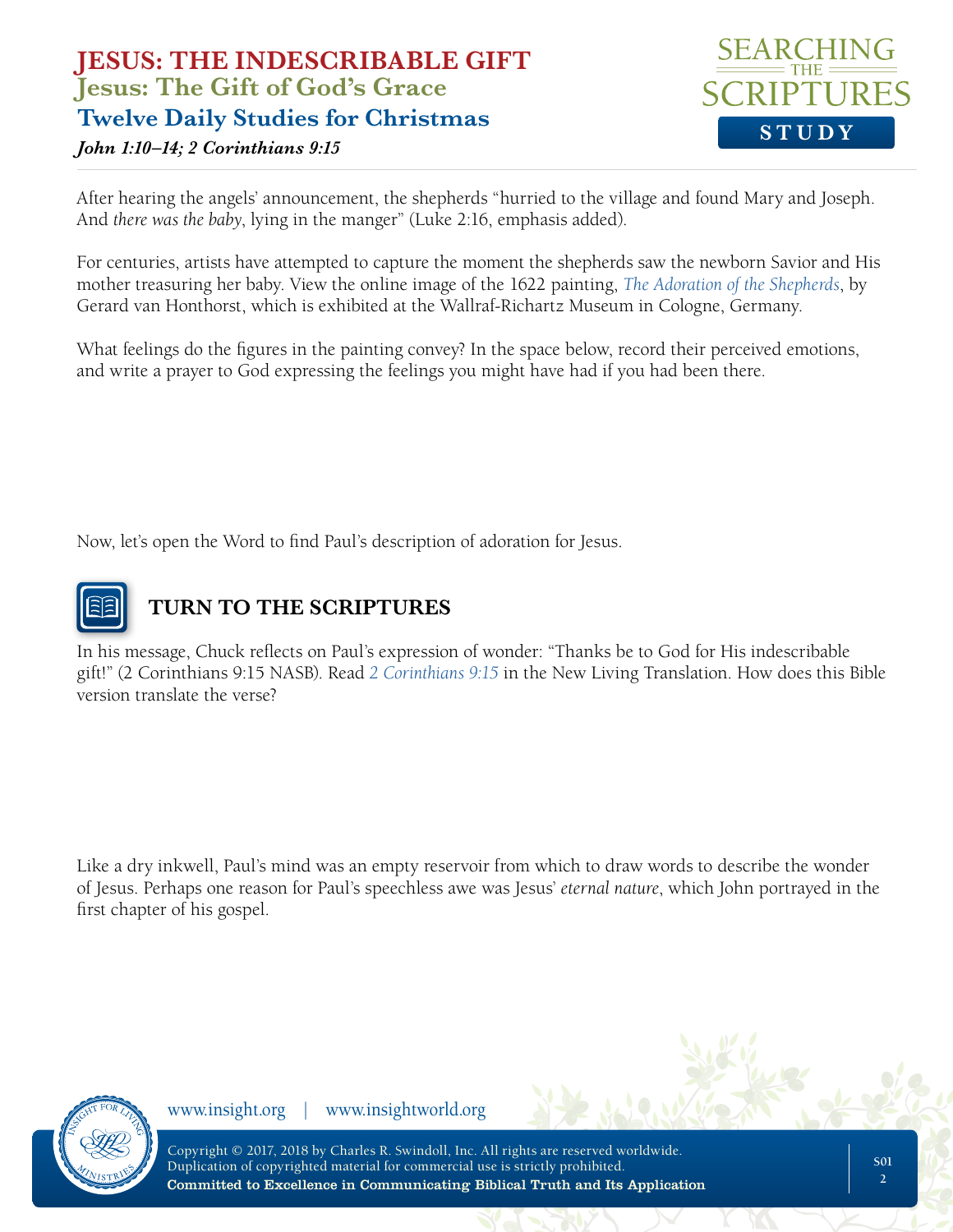# **STUDY**

#### *John 1:10–14; 2 Corinthians 9:15*

After hearing the angels' announcement, the shepherds "hurried to the village and found Mary and Joseph. And *there was the baby*, lying in the manger" (Luke 2:16, emphasis added).

For centuries, artists have attempted to capture the moment the shepherds saw the newborn Savior and His mother treasuring her baby. View the online image of the 1622 painting, *[The Adoration of the Shepherds](https://www.artbible.info/art/large/656.html)*, by Gerard van Honthorst, which is exhibited at the Wallraf-Richartz Museum in Cologne, Germany.

What feelings do the figures in the painting convey? In the space below, record their perceived emotions, and write a prayer to God expressing the feelings you might have had if you had been there.

Now, let's open the Word to find Paul's description of adoration for Jesus.



# **TURN TO THE SCRIPTURES**

In his message, Chuck reflects on Paul's expression of wonder: "Thanks be to God for His indescribable gift!" (2 Corinthians 9:15 NASB). Read *[2 Corinthians 9:15](https://www.biblegateway.com/passage/?search=2+corinthians+9%3A15&version=NLT)* in the New Living Translation. How does this Bible version translate the verse?

Like a dry inkwell, Paul's mind was an empty reservoir from which to draw words to describe the wonder of Jesus. Perhaps one reason for Paul's speechless awe was Jesus' *eternal nature*, which John portrayed in the first chapter of his gospel.



www.insight.org | www.insightworld.org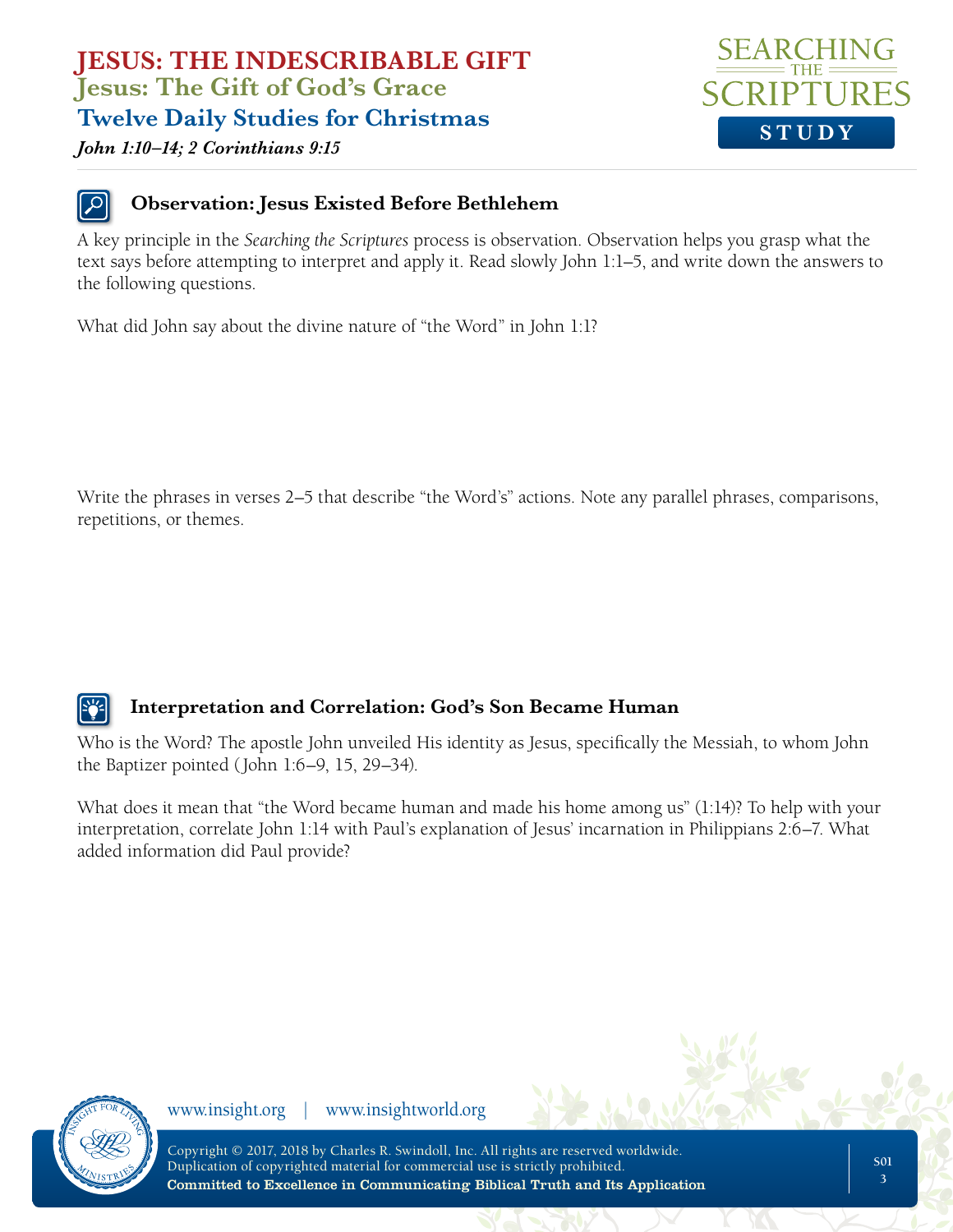#### *John 1:10–14; 2 Corinthians 9:15*



#### **Observation: Jesus Existed Before Bethlehem**

A key principle in the *Searching the Scriptures* process is observation. Observation helps you grasp what the text says before attempting to interpret and apply it. Read slowly John 1:1–5, and write down the answers to the following questions.

What did John say about the divine nature of "the Word" in John 1:1?

Write the phrases in verses 2–5 that describe "the Word's" actions. Note any parallel phrases, comparisons, repetitions, or themes.

### **Interpretation and Correlation: God's Son Became Human**

Who is the Word? The apostle John unveiled His identity as Jesus, specifically the Messiah, to whom John the Baptizer pointed (John 1:6–9, 15, 29–34).

What does it mean that "the Word became human and made his home among us" (1:14)? To help with your interpretation, correlate John 1:14 with Paul's explanation of Jesus' incarnation in Philippians 2:6–7. What added information did Paul provide?



www.insight.org | www.insightworld.org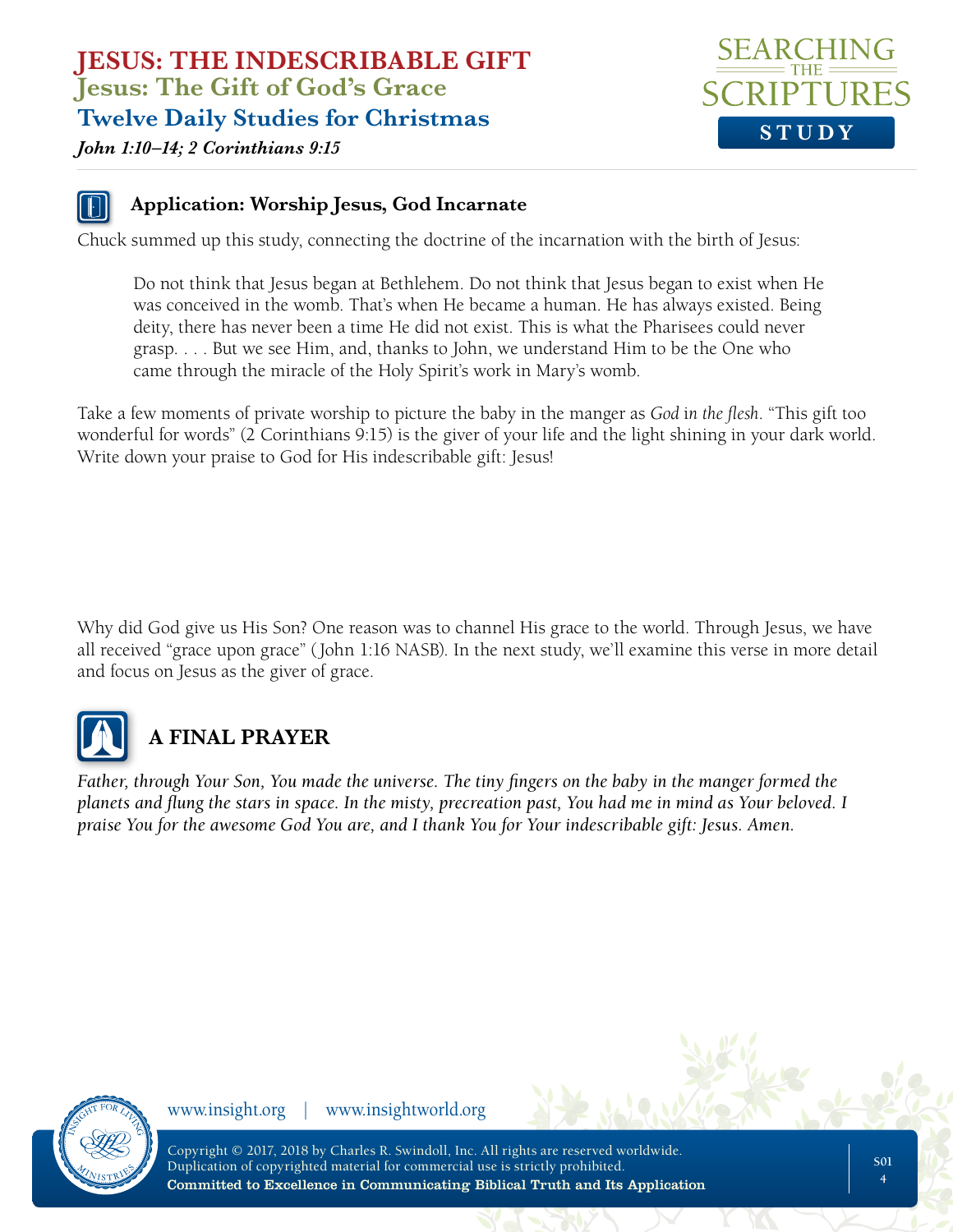

#### *John 1:10–14; 2 Corinthians 9:15*

#### **Application: Worship Jesus, God Incarnate**

Chuck summed up this study, connecting the doctrine of the incarnation with the birth of Jesus:

Do not think that Jesus began at Bethlehem. Do not think that Jesus began to exist when He was conceived in the womb. That's when He became a human. He has always existed. Being deity, there has never been a time He did not exist. This is what the Pharisees could never grasp. . . . But we see Him, and, thanks to John, we understand Him to be the One who came through the miracle of the Holy Spirit's work in Mary's womb.

Take a few moments of private worship to picture the baby in the manger as *God* i*n the flesh*. "This gift too wonderful for words" (2 Corinthians 9:15) is the giver of your life and the light shining in your dark world. Write down your praise to God for His indescribable gift: Jesus!

Why did God give us His Son? One reason was to channel His grace to the world. Through Jesus, we have all received "grace upon grace" (John 1:16 NASB). In the next study, we'll examine this verse in more detail and focus on Jesus as the giver of grace.



# **A FINAL PRAYER**

*Father, through Your Son, You made the universe. The tiny fingers on the baby in the manger formed the planets and flung the stars in space. In the misty, precreation past, You had me in mind as Your beloved. I praise You for the awesome God You are, and I thank You for Your indescribable gift: Jesus. Amen.*



www.insight.org | www.insightworld.org